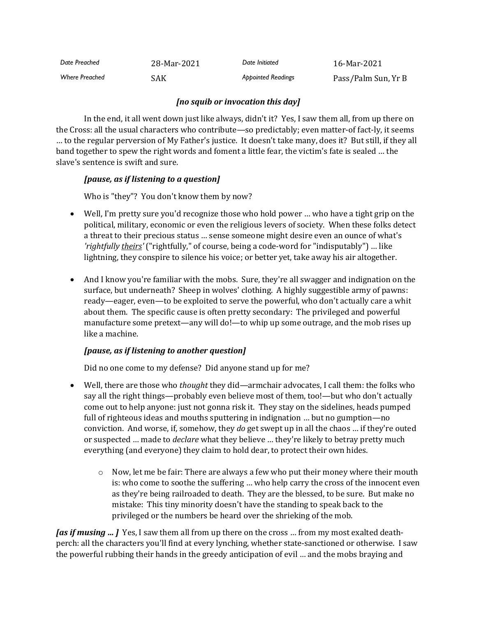| Date Preached         | 28-Mar-2021 | Date Initiated            | 16-Mar-2021         |
|-----------------------|-------------|---------------------------|---------------------|
| <b>Where Preached</b> | SAK         | <b>Appointed Readings</b> | Pass/Palm Sun, Yr B |

### *[no squib or invocation this day]*

In the end, it all went down just like always, didn't it? Yes, I saw them all, from up there on the Cross: all the usual characters who contribute—so predictably; even matter-of fact-ly, it seems … to the regular perversion of My Father's justice. It doesn't take many, does it? But still, if they all band together to spew the right words and foment a little fear, the victim's fate is sealed … the slave's sentence is swift and sure.

## *[pause, as if listening to a question]*

Who is "they"? You don't know them by now?

- Well, I'm pretty sure you'd recognize those who hold power … who have a tight grip on the political, military, economic or even the religious levers of society. When these folks detect a threat to their precious status … sense someone might desire even an ounce of what's *'rightfully theirs'* ("rightfully," of course, being a code-word for "indisputably") … like lightning, they conspire to silence his voice; or better yet, take away his air altogether.
- And I know you're familiar with the mobs. Sure, they're all swagger and indignation on the surface, but underneath? Sheep in wolves' clothing. A highly suggestible army of pawns: ready—eager, even—to be exploited to serve the powerful, who don't actually care a whit about them. The specific cause is often pretty secondary: The privileged and powerful manufacture some pretext—any will do!—to whip up some outrage, and the mob rises up like a machine.

## *[pause, as if listening to another question]*

Did no one come to my defense? Did anyone stand up for me?

- Well, there are those who *thought* they did—armchair advocates, I call them: the folks who say all the right things—probably even believe most of them, too!—but who don't actually come out to help anyone: just not gonna risk it. They stay on the sidelines, heads pumped full of righteous ideas and mouths sputtering in indignation … but no gumption—no conviction. And worse, if, somehow, they *do* get swept up in all the chaos … if they're outed or suspected … made to *declare* what they believe … they're likely to betray pretty much everything (and everyone) they claim to hold dear, to protect their own hides.
	- $\circ$  Now, let me be fair: There are always a few who put their money where their mouth is: who come to soothe the suffering … who help carry the cross of the innocent even as they're being railroaded to death. They are the blessed, to be sure. But make no mistake: This tiny minority doesn't have the standing to speak back to the privileged or the numbers be heard over the shrieking of the mob.

*[as if musing … ]* Yes, I saw them all from up there on the cross … from my most exalted deathperch: all the characters you'll find at every lynching, whether state-sanctioned or otherwise. I saw the powerful rubbing their hands in the greedy anticipation of evil … and the mobs braying and